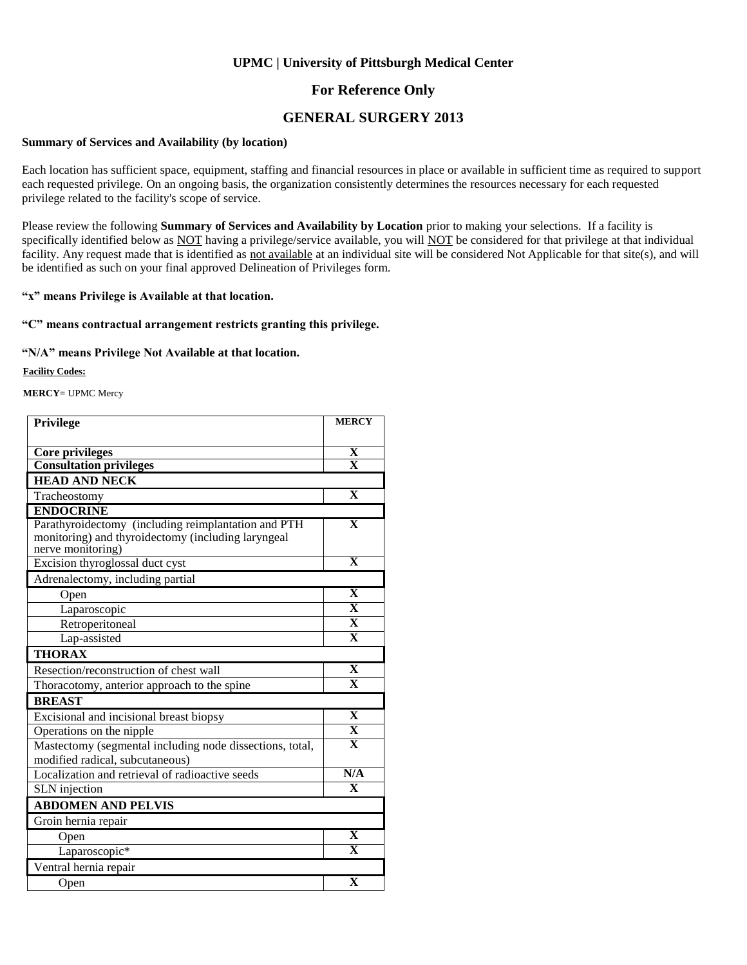### **For Reference Only**

### **GENERAL SURGERY 2013**

#### **Summary of Services and Availability (by location)**

Each location has sufficient space, equipment, staffing and financial resources in place or available in sufficient time as required to support each requested privilege. On an ongoing basis, the organization consistently determines the resources necessary for each requested privilege related to the facility's scope of service.

Please review the following **Summary of Services and Availability by Location** prior to making your selections. If a facility is specifically identified below as NOT having a privilege/service available, you will NOT be considered for that privilege at that individual facility. Any request made that is identified as not available at an individual site will be considered Not Applicable for that site(s), and will be identified as such on your final approved Delineation of Privileges form.

### **"x" means Privilege is Available at that location.**

### **"C" means contractual arrangement restricts granting this privilege.**

### **"N/A" means Privilege Not Available at that location.**

**Facility Codes:**

**MERCY=** UPMC Mercy

| Privilege                                                                                                                                          | <b>MERCY</b>                 |
|----------------------------------------------------------------------------------------------------------------------------------------------------|------------------------------|
|                                                                                                                                                    |                              |
| Core privileges<br><b>Consultation privileges</b>                                                                                                  | X<br>$\overline{\mathbf{x}}$ |
| <b>HEAD AND NECK</b>                                                                                                                               |                              |
|                                                                                                                                                    | $\mathbf{X}$                 |
| Tracheostomy                                                                                                                                       |                              |
| <b>ENDOCRINE</b><br>Parathyroidectomy (including reimplantation and PTH<br>monitoring) and thyroidectomy (including laryngeal<br>nerve monitoring) | $\overline{\mathbf{X}}$      |
| Excision thyroglossal duct cyst                                                                                                                    | $\mathbf{X}$                 |
| Adrenalectomy, including partial                                                                                                                   |                              |
| Open                                                                                                                                               | $\mathbf{X}$                 |
| Laparoscopic                                                                                                                                       | $\overline{\mathbf{X}}$      |
| Retroperitoneal                                                                                                                                    | $\overline{\mathbf{X}}$      |
| Lap-assisted                                                                                                                                       | $\mathbf{x}$                 |
| <b>THORAX</b>                                                                                                                                      |                              |
| Resection/reconstruction of chest wall                                                                                                             | $\mathbf{X}$                 |
| Thoracotomy, anterior approach to the spine                                                                                                        | $\overline{\mathbf{X}}$      |
| <b>BREAST</b>                                                                                                                                      |                              |
| Excisional and incisional breast biopsy                                                                                                            | $\mathbf{X}$                 |
| Operations on the nipple                                                                                                                           | $\overline{\mathbf{X}}$      |
| Mastectomy (segmental including node dissections, total,<br>modified radical, subcutaneous)                                                        | $\overline{\mathbf{X}}$      |
| Localization and retrieval of radioactive seeds                                                                                                    | N/A                          |
| <b>SLN</b> injection                                                                                                                               | $\overline{\mathbf{x}}$      |
| <b>ABDOMEN AND PELVIS</b>                                                                                                                          |                              |
| Groin hernia repair                                                                                                                                |                              |
| Open                                                                                                                                               | $\mathbf X$                  |
| Laparoscopic*                                                                                                                                      | $\overline{\mathbf{X}}$      |
| Ventral hernia repair                                                                                                                              |                              |
| Open                                                                                                                                               | $\overline{\textbf{X}}$      |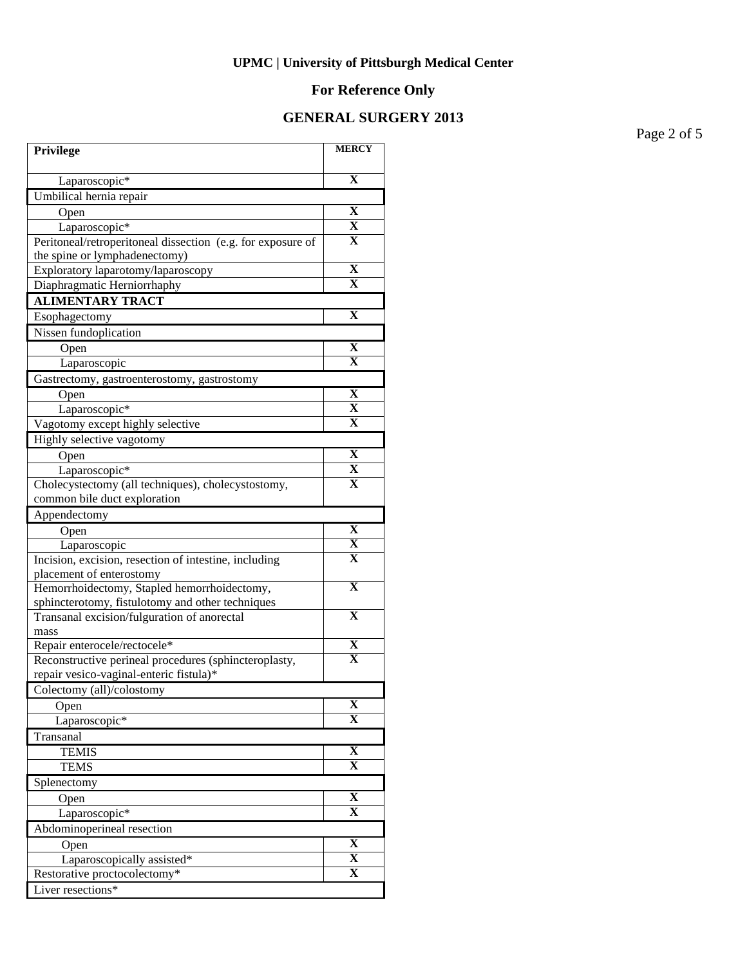# **For Reference Only**

## **GENERAL SURGERY 2013**

Page 2 of 5

| Privilege                                                                                       | <b>MERCY</b>            |
|-------------------------------------------------------------------------------------------------|-------------------------|
| Laparoscopic*                                                                                   | $\mathbf X$             |
| Umbilical hernia repair                                                                         |                         |
| Open                                                                                            | X                       |
| Laparoscopic*                                                                                   | X                       |
| Peritoneal/retroperitoneal dissection (e.g. for exposure of                                     | X                       |
| the spine or lymphadenectomy)                                                                   |                         |
| Exploratory laparotomy/laparoscopy                                                              | X                       |
| Diaphragmatic Herniorrhaphy                                                                     | X                       |
| <b>ALIMENTARY TRACT</b>                                                                         |                         |
| Esophagectomy                                                                                   | $\mathbf X$             |
| Nissen fundoplication                                                                           |                         |
| Open                                                                                            | X                       |
| Laparoscopic                                                                                    | $\mathbf{X}$            |
| Gastrectomy, gastroenterostomy, gastrostomy                                                     |                         |
| Open                                                                                            | X                       |
| Laparoscopic*                                                                                   | $\overline{\textbf{X}}$ |
| Vagotomy except highly selective                                                                | X                       |
| Highly selective vagotomy                                                                       |                         |
| Open                                                                                            | X                       |
| Laparoscopic*                                                                                   | $\overline{\mathbf{X}}$ |
| Cholecystectomy (all techniques), cholecystostomy,                                              | $\mathbf X$             |
| common bile duct exploration                                                                    |                         |
| Appendectomy                                                                                    |                         |
| Open                                                                                            | X                       |
| Laparoscopic                                                                                    | X                       |
| Incision, excision, resection of intestine, including                                           | X                       |
| placement of enterostomy                                                                        | X                       |
| Hemorrhoidectomy, Stapled hemorrhoidectomy,<br>sphincterotomy, fistulotomy and other techniques |                         |
| Transanal excision/fulguration of anorectal                                                     | $\overline{\mathbf{X}}$ |
| mass                                                                                            |                         |
| Repair enterocele/rectocele*                                                                    | $\overline{\mathbf{X}}$ |
| Reconstructive perineal procedures (sphincteroplasty,                                           | $\overline{\mathbf{X}}$ |
| repair vesico-vaginal-enteric fistula)*                                                         |                         |
| Colectomy (all)/colostomy                                                                       |                         |
| Open                                                                                            | X                       |
| Laparoscopic*                                                                                   | $\mathbf X$             |
| Transanal                                                                                       |                         |
| <b>TEMIS</b>                                                                                    | $\overline{\mathbf{X}}$ |
| <b>TEMS</b>                                                                                     | $\overline{\mathbf{X}}$ |
| Splenectomy                                                                                     |                         |
| Open                                                                                            | X                       |
| Laparoscopic*                                                                                   | X                       |
| Abdominoperineal resection                                                                      |                         |
| Open                                                                                            | $\overline{\mathbf{X}}$ |
| Laparoscopically assisted*                                                                      | $\overline{\mathbf{X}}$ |
| Restorative proctocolectomy*                                                                    | $\overline{\mathbf{X}}$ |
| Liver resections*                                                                               |                         |
|                                                                                                 |                         |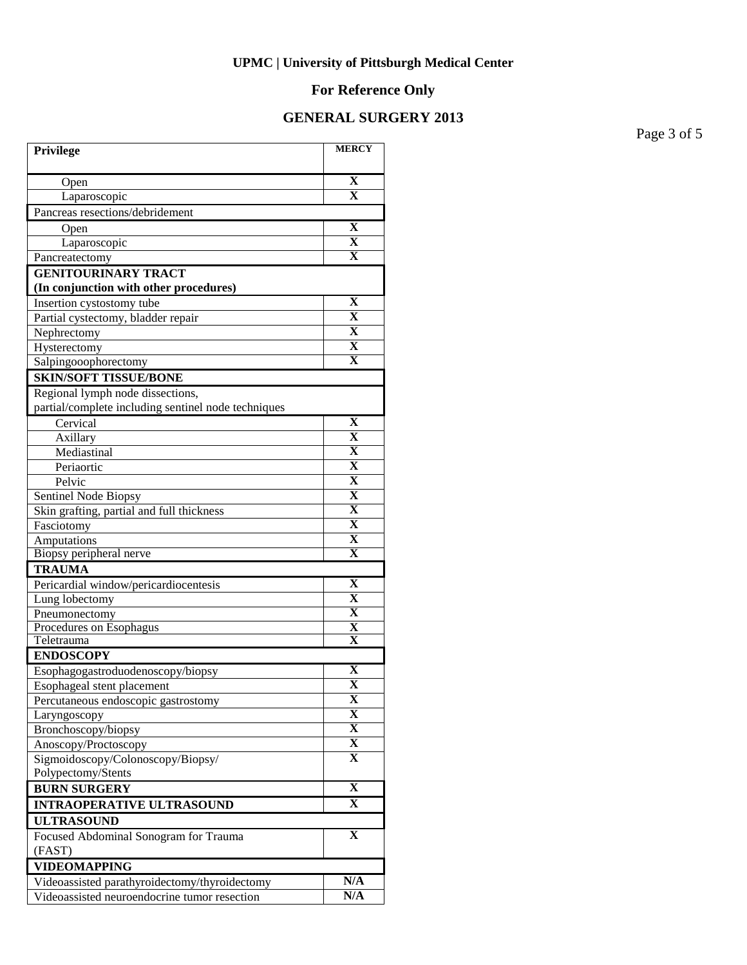# **For Reference Only**

## **GENERAL SURGERY 2013**

Page 3 of 5

| Privilege                                                                                     | <b>MERCY</b>                 |
|-----------------------------------------------------------------------------------------------|------------------------------|
|                                                                                               |                              |
| Open                                                                                          | $\mathbf X$                  |
| Laparoscopic                                                                                  | $\overline{\textbf{X}}$      |
| Pancreas resections/debridement                                                               |                              |
| Open                                                                                          | $\mathbf X$                  |
| Laparoscopic                                                                                  | $\overline{\textbf{X}}$      |
| Pancreatectomy                                                                                | $\overline{\mathbf{X}}$      |
| <b>GENITOURINARY TRACT</b><br>(In conjunction with other procedures)                          |                              |
| Insertion cystostomy tube                                                                     | X                            |
| Partial cystectomy, bladder repair                                                            | $\mathbf X$                  |
| Nephrectomy                                                                                   | $\mathbf X$                  |
| Hysterectomy                                                                                  | $\mathbf X$                  |
| Salpingooophorectomy                                                                          | $\mathbf X$                  |
| <b>SKIN/SOFT TISSUE/BONE</b>                                                                  |                              |
| Regional lymph node dissections,                                                              |                              |
| partial/complete including sentinel node techniques                                           |                              |
| Cervical                                                                                      | $\mathbf X$                  |
| Axillary                                                                                      | $\overline{\textbf{X}}$      |
| Mediastinal                                                                                   | $\overline{\mathbf{X}}$      |
| Periaortic                                                                                    | $\overline{\mathbf{X}}$      |
| Pelvic                                                                                        | $\overline{\mathbf{X}}$      |
| Sentinel Node Biopsy                                                                          | $\overline{\mathbf{X}}$      |
| Skin grafting, partial and full thickness                                                     | $\overline{\mathbf{X}}$      |
| Fasciotomy                                                                                    | $\overline{\mathbf{X}}$      |
| Amputations                                                                                   | $\overline{\mathbf{X}}$      |
| Biopsy peripheral nerve                                                                       | X                            |
| <b>TRAUMA</b>                                                                                 |                              |
| Pericardial window/pericardiocentesis                                                         | $\mathbf X$                  |
| Lung lobectomy                                                                                | X                            |
| Pneumonectomy                                                                                 | X                            |
| Procedures on Esophagus                                                                       | $\overline{\textbf{X}}$      |
| Teletrauma                                                                                    | $\mathbf X$                  |
| <b>ENDOSCOPY</b>                                                                              |                              |
| Esophagogastroduodenoscopy/biopsy                                                             | X<br>$\overline{\mathbf{X}}$ |
| Esophageal stent placement                                                                    | X                            |
| Percutaneous endoscopic gastrostomy                                                           | X                            |
| Laryngoscopy                                                                                  | $\overline{\mathbf{X}}$      |
| Bronchoscopy/biopsy                                                                           | X                            |
| Anoscopy/Proctoscopy<br>Sigmoidoscopy/Colonoscopy/Biopsy/                                     | X                            |
| Polypectomy/Stents                                                                            |                              |
| <b>BURN SURGERY</b>                                                                           | $\overline{\mathbf{X}}$      |
| <b>INTRAOPERATIVE ULTRASOUND</b>                                                              | X                            |
| <b>ULTRASOUND</b>                                                                             |                              |
| Focused Abdominal Sonogram for Trauma                                                         | $\mathbf X$                  |
| (FAST)                                                                                        |                              |
| <b>VIDEOMAPPING</b>                                                                           |                              |
|                                                                                               | N/A                          |
| Videoassisted parathyroidectomy/thyroidectomy<br>Videoassisted neuroendocrine tumor resection | N/A                          |
|                                                                                               |                              |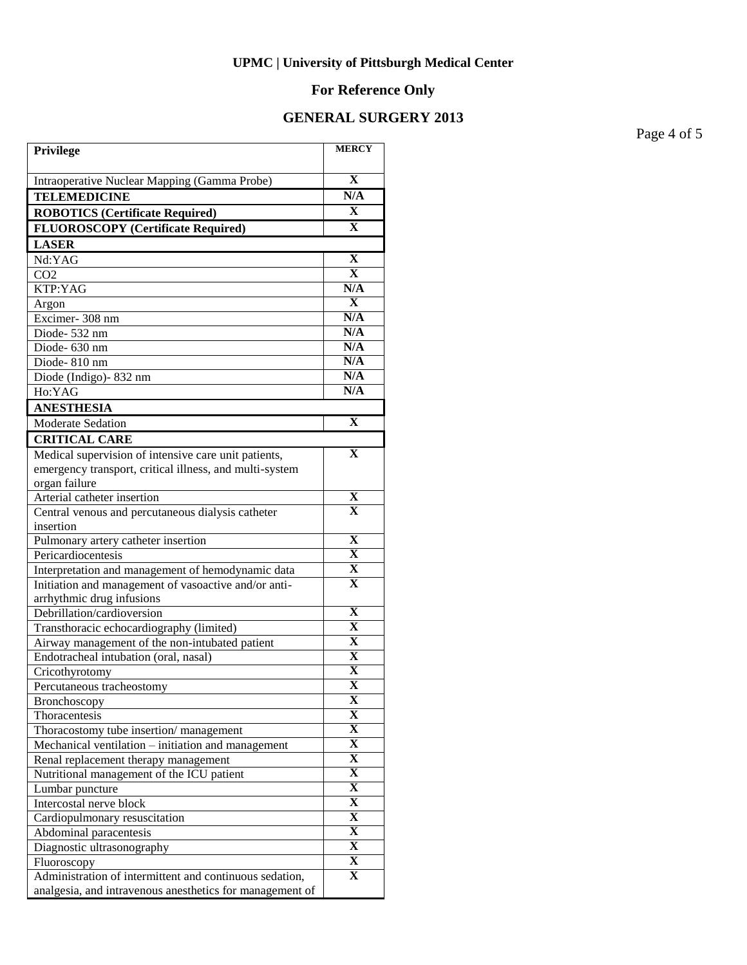# **For Reference Only**

## **GENERAL SURGERY 2013**

Page 4 of 5

| Privilege                                                                                                           | <b>MERCY</b>                 |
|---------------------------------------------------------------------------------------------------------------------|------------------------------|
| Intraoperative Nuclear Mapping (Gamma Probe)                                                                        | $\overline{\mathbf{X}}$      |
| <b>TELEMEDICINE</b>                                                                                                 | N/A                          |
| <b>ROBOTICS (Certificate Required)</b>                                                                              | X                            |
| <b>FLUOROSCOPY</b> (Certificate Required)                                                                           | X                            |
| <b>LASER</b>                                                                                                        |                              |
| Nd:YAG                                                                                                              | X                            |
| CO <sub>2</sub>                                                                                                     | $\mathbf{X}$                 |
| KTP:YAG                                                                                                             | N/A                          |
| Argon                                                                                                               | $\overline{\mathbf{X}}$      |
| Excimer-308 nm                                                                                                      | N/A                          |
| Diode-532 nm                                                                                                        | N/A                          |
| Diode- 630 nm                                                                                                       | N/A                          |
| Diode-810 nm                                                                                                        | N/A                          |
| Diode (Indigo)-832 nm                                                                                               | N/A                          |
| Ho:YAG                                                                                                              | N/A                          |
| <b>ANESTHESIA</b>                                                                                                   |                              |
| Moderate Sedation                                                                                                   | $\mathbf X$                  |
| <b>CRITICAL CARE</b>                                                                                                |                              |
| Medical supervision of intensive care unit patients,                                                                | $\mathbf X$                  |
| emergency transport, critical illness, and multi-system                                                             |                              |
| organ failure                                                                                                       |                              |
| Arterial catheter insertion                                                                                         | X                            |
| Central venous and percutaneous dialysis catheter                                                                   | $\overline{\mathbf{X}}$      |
| insertion                                                                                                           |                              |
| Pulmonary artery catheter insertion                                                                                 | X                            |
| Pericardiocentesis                                                                                                  | $\mathbf X$                  |
| Interpretation and management of hemodynamic data                                                                   | X<br>$\mathbf X$             |
| Initiation and management of vasoactive and/or anti-                                                                |                              |
| arrhythmic drug infusions<br>Debrillation/cardioversion                                                             | X                            |
| Transthoracic echocardiography (limited)                                                                            | X                            |
| Airway management of the non-intubated patient                                                                      | $\overline{\mathbf{X}}$      |
| Endotracheal intubation (oral, nasal)                                                                               | $\overline{\mathbf{X}}$      |
| Cricothyrotomy                                                                                                      | $\overline{\mathbf{X}}$      |
| Percutaneous tracheostomy                                                                                           | $\overline{\mathbf{X}}$      |
| Bronchoscopy                                                                                                        | X                            |
| Thoracentesis                                                                                                       | X                            |
| Thoracostomy tube insertion/management                                                                              | $\overline{\mathbf{X}}$      |
| Mechanical ventilation - initiation and management                                                                  | $\overline{\mathbf{X}}$      |
| Renal replacement therapy management                                                                                | $\overline{\mathbf{X}}$      |
| Nutritional management of the ICU patient                                                                           | $\overline{\mathbf{X}}$      |
| Lumbar puncture                                                                                                     | $\overline{\mathbf{X}}$      |
| Intercostal nerve block                                                                                             | $\overline{\mathbf{X}}$      |
| Cardiopulmonary resuscitation                                                                                       | $\overline{\mathbf{X}}$      |
| Abdominal paracentesis                                                                                              | $\overline{\mathbf{X}}$      |
| Diagnostic ultrasonography                                                                                          | $\overline{\mathbf{X}}$      |
| Fluoroscopy                                                                                                         | $\overline{\mathbf{X}}$<br>X |
| Administration of intermittent and continuous sedation,<br>analgesia, and intravenous anesthetics for management of |                              |